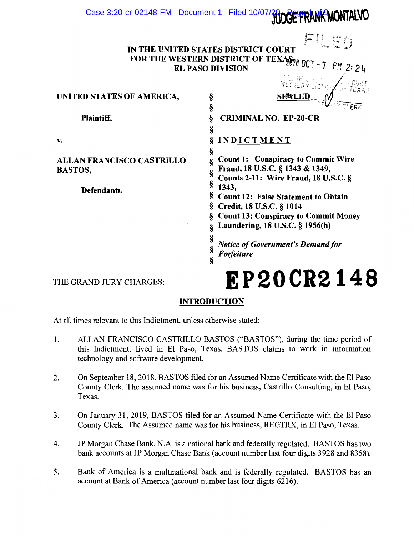# Case 3:20-cr-02148-FM Document 1 Filed 10/07/20 Page 1 PANK MONTALVO

|                                                                                        | FILED |  |  |  |
|----------------------------------------------------------------------------------------|-------|--|--|--|
| IN THE UNITED STATES DISTRICT COURT<br>FOR THE WESTERN DISTRICT OF TEXANT OCT -7 PM 2: |       |  |  |  |
| <b>EL PASO DIVISION</b>                                                                |       |  |  |  |

§<br>§

§

§<br>§

§

UNITED STATES OF AMERICA,  $\frac{1}{2}$  sextern by the set of an intervalse  $\frac{1}{2}$ 

Plaintiff, Same Strategy & CRIMINAL NO. EP-20-CR v. § INDICTMENT

§ SEXLED

ALLAN FRANCISCO CASTRILLO BASTOS,

Defendants.

Count 1: Conspiracy to Commit Wire Fraud, 18 U.S.C. § 1343 & 1349, Counts 2-11: Wire Fraud, 18 U.S.C. § § 1343, § Count 12: False Statement to Obtain  $\$  Credit, 18 U.S.C.  $\S$  1014

 $7$  PM 2: 24

V

§ Count 13: Conspiracy to Commit Money

§ Laundering, 18 U.S.C. § 1956(h)

§ § Notice of Government's Demand for Forfeiture

# THE GRAND JURY CHARGES:  $R$   $R$   $P$   $20$   $CR$   $2$   $1$   $4$   $8$

# **INTRODUCTION**

§

At all times relevant to this Indictment, unless otherwise stated:

- 1. ALLAN FRANCISCO CASTRILLO BASTOS ("BASTOS"), during the time period of this Indictment, lived in El Paso, Texas. BASTOS claims to work in information technology and software development.
- 2. On September 18, 2018, BASTOS filed for an Assumed Name Certificate with the El Paso County Clerk. The assumed name was for his business, Castrillo Consulting, in El Paso, Texas.
- 3. On January 31, 2019, BASTOS filed for an Assumed Name Certificate with the El Paso County Clerk. The Assumed name was for his business, REGTRX, in El Paso, Texas.
- 4. JP Morgan Chase Bank, N.A. is a national bank and federally regulated. BASTOS has two bank accounts at JP Morgan Chase Bank (account number last four digits 3928 and 8358).
- 5. Bank of America is a multinational bank and is federally regulated. BASTOS has an account at Bank of America (account number last four digits 6216).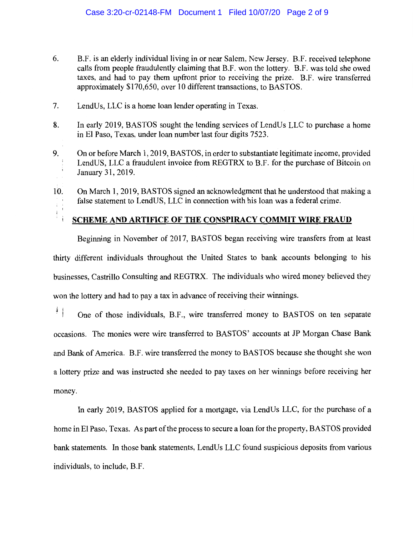- 6. B.F. is an elderly individual living in or near Salem, New Jersey. B.F. received telephone calls from people fraudulently claiming that B.F. won the lottery. B.F. was told she owed taxes, and had to pay them upfront prior to receiving the prize. B.F. wire transferred approximately \$170,650, over 10 different transactions, to BASTOS.
- 7. LendUs, LLC is a home loan lender operating in Texas.
- 8. In early 2019, BASTOS sought the lending services of LendUs LLC to purchase a home in El Paso, Texas, under loan number last four digits 7523.
- 9. On or before March 1, 2019, BASTOS, in order to substantiate legitimate income, provided LendUS, LLC a fraudulent invoice from REGTRX to B.F. for the purchase of Bitcoin on January 31, 2019.
- 10. On March 1, 2019, BASTOS signed an acknowledgment that he understood that making a false statement to LendUS, LLC in connection with his loan was a federal crime.

# SCHEME AND ARTIFICE OF THE CONSPIRACY COMMIT WIRE FRAUD

Beginning in November of 2017, BASTOS began receiving wire transfers from at least thirty different individuals throughout the United States to bank accounts belonging to his businesses, Castrillo Consulting and REGTRX. The individuals who wired money believed they won the lottery and had to pay a tax in advance of receiving their winnings.

美 One of those individuals, B.F., wire transferred money to BASTOS on ten separate occasions. The monies were wire transferred to BASTOS' accounts at JP Morgan Chase Bank and Bank of America. B.F. wire transferred the money to BASTOS because she thought she won a lottery prize and was instructed she needed to pay taxes on her winnings before receiving her money.

In early 2019, BASTOS applied for a mortgage, via LendUs LLC, for the purchase of a home in El Paso, Texas. As part of the process to secure a loan for the property, BASTOS provided bank statements. In those bank statements, LendUs LLC found suspicious deposits from various individuals, to include, B.F.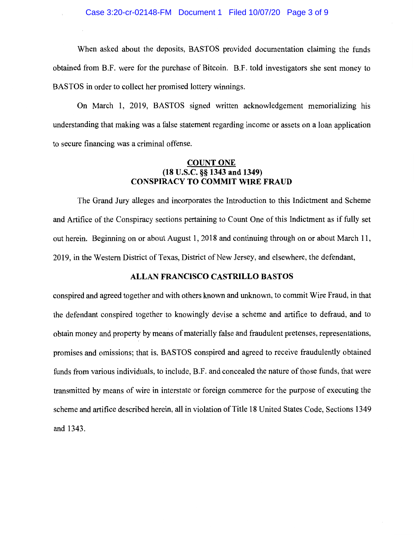When asked about the deposits, BASTOS provided documentation claiming the funds obtained from B.F. were for the purchase of Bitcoin. B.F. told investigators she sent money to BASTOS in order to collect her promised lottery winnings.

On March 1, 2019, BASTOS signed written acknowledgement memorializing his understanding that making was a false statement regarding income or assets on a loan application to secure financing was a criminal offense.

#### COUNT ONE (18 U.S.C. §§ 1343 and 1349) CONSPIRACY TO COMMIT WIRE FRAUD

The Grand Jury alleges and incorporates the Introduction to this Indictment and Scheme and Artifice of the Conspiracy sections pertaining to Count One of this Indictment as if fully set out herein. Beginning on or about August 1, 2018 and continuing through on or about March 11, 2019, in the Western District of Texas, District of New Jersey, and elsewhere, the defendant,

#### ALLAN FRANCISCO CASTRILLO BASTOS

conspired and agreed together and with others known and unknown, to commit Wire Fraud, in that the defendant conspired together to knowingly devise a scheme and artifice to defraud, and to obtain money and property by means of materially false and fraudulent pretenses, representations, promises and omissions; that is, BASTOS conspired and agreed to receive fraudulently obtained funds from various individuals, to include, B.F. and concealed the nature of those funds, that were transmitted by means of wire in interstate or foreign commerce for the purpose of executing the scheme and artifice described herein, all in violation of Title 18 United States Code, Sections 1349 and 1343.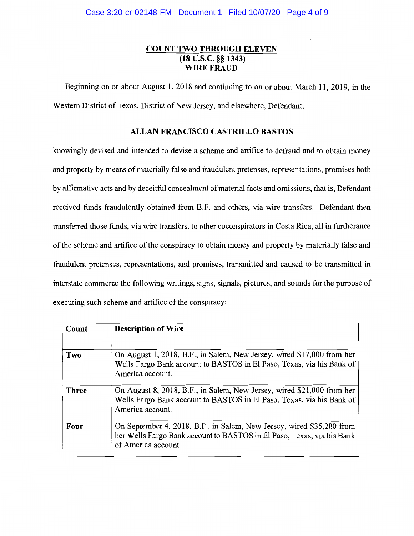#### COUNT TWO THROUGH ELEVEN (18 U.S.C. § 1343) WIRE FRAUD

Beginning on or about August 1, 2018 and continuing to on or about March 11, 2019, in the Western District of Texas, District of New Jersey, and elsewhere, Defendant,

#### ALLAN FRANCISCO CASTRILLO BASTOS

knowingly devised and intended to devise a scheme and artifice to defraud and to obtain money and property by means of materially false and fraudulent pretenses, representations, promises both by affirmative acts and by deceitful concealment of material facts and omissions, that is, Defendant received funds fraudulently obtained from B.F. and others, via wire transfers. Defendant then transferred those funds, via wire transfers, to other coconspirators in Costa Rica, all in furtherance of the scheme and artifice of the conspiracy to obtain money and property by materially false and fraudulent pretenses, representations, and promises; transmitted and caused to be transmitted in interstate commerce the following writings, signs, signals, pictures, and sounds for the purpose of executing such scheme and artifice of the conspiracy:

| Count        | <b>Description of Wire</b>                                                                                                                                             |
|--------------|------------------------------------------------------------------------------------------------------------------------------------------------------------------------|
| Two          | On August 1, 2018, B.F., in Salem, New Jersey, wired \$17,000 from her<br>Wells Fargo Bank account to BASTOS in El Paso, Texas, via his Bank of<br>America account.    |
| <b>Three</b> | On August 8, 2018, B.F., in Salem, New Jersey, wired \$21,000 from her<br>Wells Fargo Bank account to BASTOS in El Paso, Texas, via his Bank of<br>America account.    |
| Four         | On September 4, 2018, B.F., in Salem, New Jersey, wired \$35,200 from<br>her Wells Fargo Bank account to BASTOS in El Paso, Texas, via his Bank<br>of America account. |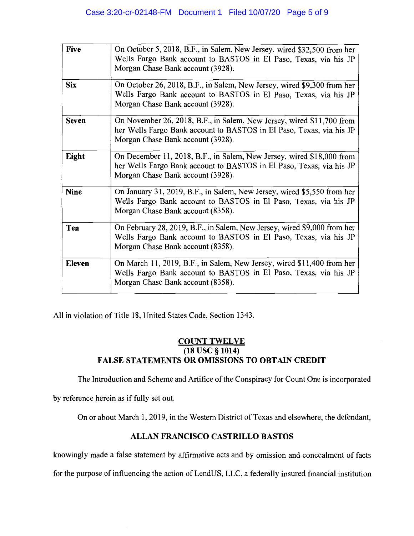| Five         | On October 5, 2018, B.F., in Salem, New Jersey, wired \$32,500 from her<br>Wells Fargo Bank account to BASTOS in El Paso, Texas, via his JP<br>Morgan Chase Bank account (3928).   |
|--------------|------------------------------------------------------------------------------------------------------------------------------------------------------------------------------------|
| <b>Six</b>   | On October 26, 2018, B.F., in Salem, New Jersey, wired \$9,300 from her<br>Wells Fargo Bank account to BASTOS in El Paso, Texas, via his JP<br>Morgan Chase Bank account (3928).   |
| <b>Seven</b> | On November 26, 2018, B.F., in Salem, New Jersey, wired \$11,700 from<br>her Wells Fargo Bank account to BASTOS in El Paso, Texas, via his JP<br>Morgan Chase Bank account (3928). |
| Eight        | On December 11, 2018, B.F., in Salem, New Jersey, wired \$18,000 from<br>her Wells Fargo Bank account to BASTOS in El Paso, Texas, via his JP<br>Morgan Chase Bank account (3928). |
| <b>Nine</b>  | On January 31, 2019, B.F., in Salem, New Jersey, wired \$5,550 from her<br>Wells Fargo Bank account to BASTOS in El Paso, Texas, via his JP<br>Morgan Chase Bank account (8358).   |
| Ten          | On February 28, 2019, B.F., in Salem, New Jersey, wired \$9,000 from her<br>Wells Fargo Bank account to BASTOS in El Paso, Texas, via his JP<br>Morgan Chase Bank account (8358).  |
| Eleven       | On March 11, 2019, B.F., in Salem, New Jersey, wired \$11,400 from her<br>Wells Fargo Bank account to BASTOS in El Paso, Texas, via his JP<br>Morgan Chase Bank account (8358).    |

All in violation of Title 18, United States Code, Section 1343.

## COUNT TWELVE (18 USC §1014) FALSE STATEMENTS OR OMISSIONS TO OBTAIN CREDIT

The Introduction and Scheme and Artifice of the Conspiracy for Count One is incorporated

by reference herein as if fully set out.

On or about March 1, 2019, in the Western District of Texas and elsewhere, the defendant,

## ALLAN FRANCISCO CASTRILLO BASTOS

knowingly made a false statement by affirmative acts and by omission and concealment of facts

for the purpose of influencing the action of LendUS, LLC, a federally insured financial institution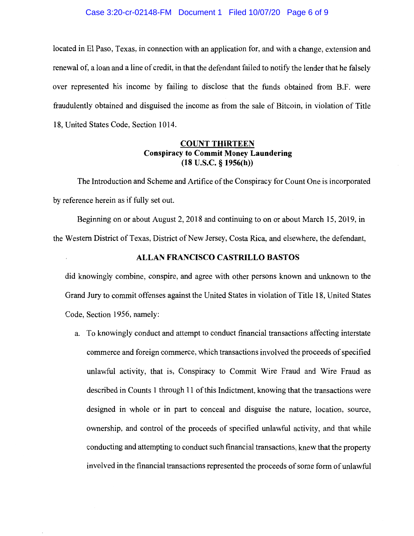#### Case 3:20-cr-02148-FM Document 1 Filed 10/07/20 Page 6 of 9

located in El Paso, Texas, in connection with an application for, and with a change, extension and renewal of, a loan and a line of credit, in that the defendant failed to notify the lender that he falsely over represented his income by failing to disclose that the funds obtained from B.F. were fraudulently obtained and disguised the income as from the sale of Bitcoin, in violation of Title 18, United States Code, Section 1014.

#### COUNT THIRTEEN Conspiracy to Commit Money Laundering (18 U.S.C. § 1956(h))

The Introduction and Scheme and Artifice of the Conspiracy for Count One is incorporated by reference herein as if fully set out.

Beginning on or about August 2, 2018 and continuing to on or about March 15, 2019, in the Western District of Texas, District of New Jersey, Costa Rica, and elsewhere, the defendant,

#### ALLAN FRANCISCO CASTRILLO BASTOS

did knowingly combine, conspire, and agree with other persons known and unknown to the Grand Jury to commit offenses against the United States in violation of Title 18, United States Code, Section 1956, namely:

a. To knowingly conduct and attempt to conduct financial transactions affecting interstate commerce and foreign commerce, which transactions involved the proceeds of specified unlawful activity, that is, Conspiracy to Commit Wire Fraud and Wire Fraud as described in Counts 1 through 11 of this Indictment, knowing that the transactions were designed in whole or in part to conceal and disguise the nature, location, source, ownership, and control of the proceeds of specified unlawful activity, and that while conducting and attempting to conduct such financial transactions, knew that the property involved in the financial transactions represented the proceeds of some form of unlawful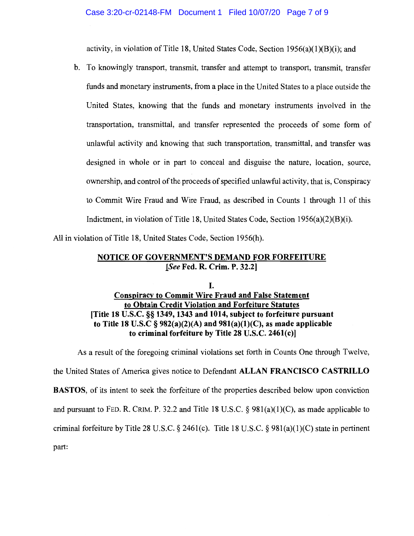activity, in violation of Title 18, United States Code, Section  $1956(a)(1)(B)(i)$ ; and

b. To knowingly transport, transmit, transfer and attempt to transport, transmit, transfer funds and monetary instruments, from a place in the United States to a place outside the United States, knowing that the funds and monetary instruments involved in the transportation, transmittal, and transfer represented the proceeds of some form of unlawful activity and knowing that such transportation, transmittal, and transfer was designed in whole or in part to conceal and disguise the nature, location, source, ownership, and control of the proceeds of specified unlawful activity, that is, Conspiracy to Commit Wire Fraud and Wire Fraud, as described in Counts 1 through 11 of this Indictment, in violation of Title 18, United States Code, Section 1956(a)(2)(B)(i).

All in violation of Title 18, United States Code, Section 1956(h).

### NOTICE OF GOVERNMENT'S DEMAND FOR FORFEITURE jSee Fed. R. Crim. P. 32.21

## I. Conspiracy to Commit Wire Fraud and False Statement to Obtain Credit Violation and Forfeiture Statutes ITitle 18 U.S.C. §§ 1349, 1343 and 1014, subject to forfeiture pursuant to Title 18 U.S.C  $\S 982(a)(2)(A)$  and  $981(a)(1)(C)$ , as made applicable to criminal forfeiture by Title 28 U.S.C. 2461(c)]

As a result of the foregoing criminal violations set forth in Counts One through Twelve, the United States of America gives notice to Defendant ALLAN FRANCISCO CASTRILLO BASTOS, of its intent to seek the forfeiture of the properties described below upon conviction and pursuant to FED. R. CRIM. P. 32.2 and Title 18 U.S.C.  $\S$  981(a)(1)(C), as made applicable to criminal forfeiture by Title 28 U.S.C. § 2461(c). Title 18 U.S.C. § 981(a)(1)(C) state in pertinent part: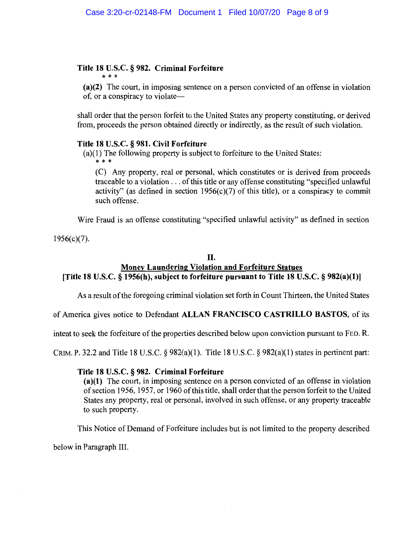# Title 18 U.S.C. § 982. Criminal Forfeiture

(a)(2) The court, in imposing sentence on a person convicted of an offense in violation of, or a conspiracy to violate

shall order that the person forfeit to the United States any property constituting, or derived from, proceeds the person obtained directly or indirectly, as the result of such violation.

#### Title 18 U.S.C. § 981. Civil Forfeiture

(a)(1) The following property is subject to forfeiture to the United States:<br>\*\*\*

(C) Any property, real or personal, which constitutes or is derived from proceeds traceable to a violation. . . of this title or any offense constituting "specified unlawful activity" (as defined in section  $1956(c)(7)$  of this title), or a conspiracy to commit such offense.

Wire Fraud is an offense constituting "specified unlawful activity" as defined in section

 $1956(c)(7)$ .

#### II.

# Money Laundering Violation and Forfeiture Statues [Title 18 U.S.C. § 1956(h), subject to forfeiture pursuant to Title 18 U.S.C. § 982(a)(1)]

As a result of the foregoing criminal violation set forth in Count Thirteen, the United States

of America gives notice to Defendant ALLAN FRANCISCO CASTRILLO BASTOS, of its

intent to seek the forfeiture of the properties described below upon conviction pursuant to FED. R.

CRIM. P. 32.2 and Title 18 U.S.C.  $\S 982(a)(1)$ . Title 18 U.S.C.  $\S 982(a)(1)$  states in pertinent part:

#### Title 18 U.S.C. § 982. Criminal Forfeiture

(a)(1) The court, in imposing sentence on a person convicted of an offense in violation of section 1956, 1957, or 1960 of this title, shall order that the person forfeit to the United States any property, real or personal, involved in such offense, or any property traceable to such property.

This Notice of Demand of Forfeiture includes but is not limited to the property described

below in Paragraph III.